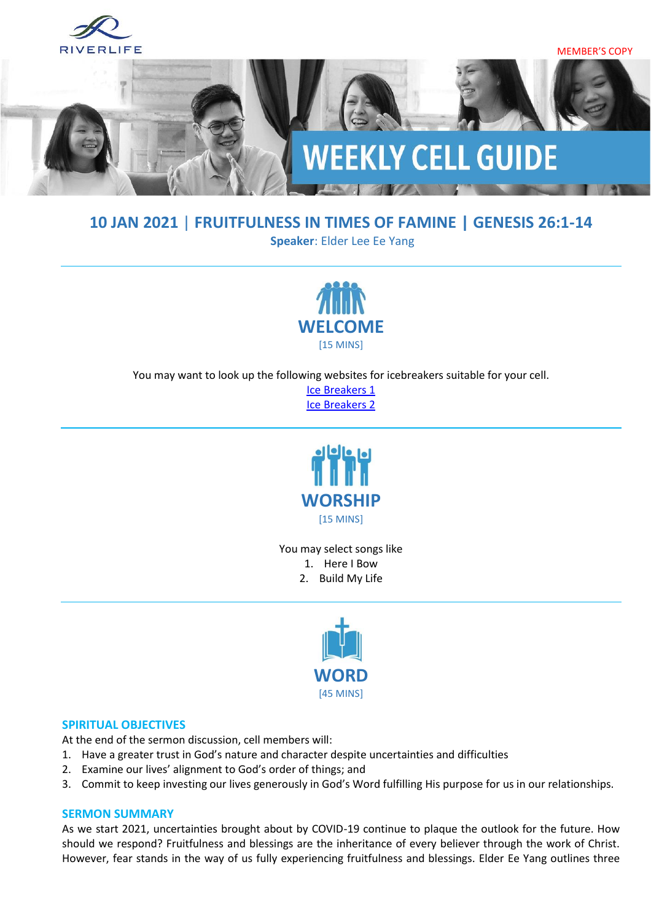

### **10 JAN 2021** | **FRUITFULNESS IN TIMES OF FAMINE | GENESIS 26:1-14**

**Speaker**: Elder Lee Ee Yang



You may want to look up the following websites for icebreakers suitable for your cell.

[Ice Breakers 1](http://www.thesource4ym.com/games/) [Ice Breakers 2](http://www.christianitytoday.com/smallgroups/articles/icebreakersbeyond.html)



You may select songs like 1. Here I Bow

2. Build My Life



#### **SPIRITUAL OBJECTIVES**

At the end of the sermon discussion, cell members will:

- 1. Have a greater trust in God's nature and character despite uncertainties and difficulties
- 2. Examine our lives' alignment to God's order of things; and
- 3. Commit to keep investing our lives generously in God's Word fulfilling His purpose for us in our relationships.

#### **SERMON SUMMARY**

As we start 2021, uncertainties brought about by COVID-19 continue to plaque the outlook for the future. How should we respond? Fruitfulness and blessings are the inheritance of every believer through the work of Christ. However, fear stands in the way of us fully experiencing fruitfulness and blessings. Elder Ee Yang outlines three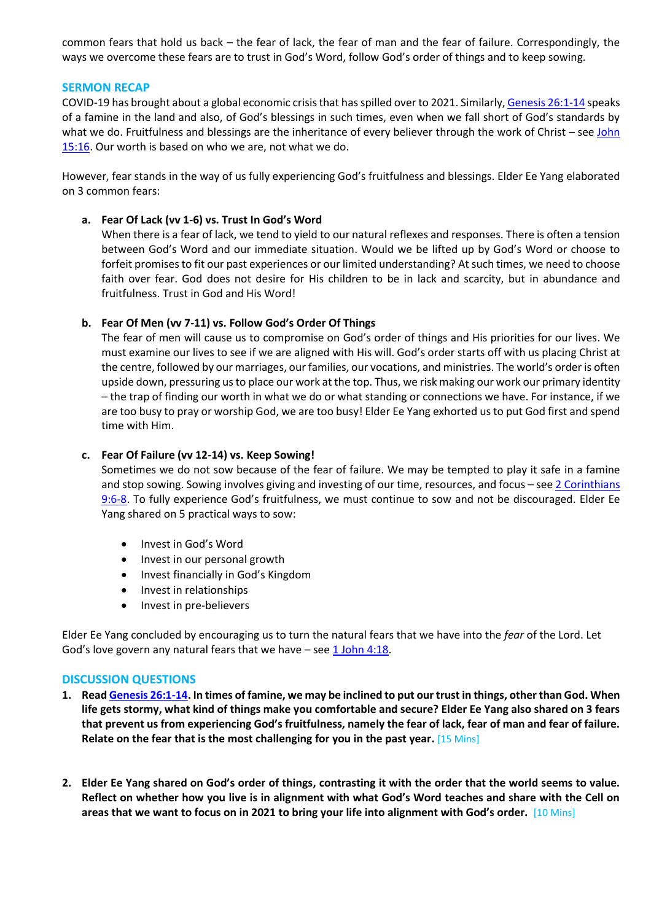common fears that hold us back – the fear of lack, the fear of man and the fear of failure. Correspondingly, the ways we overcome these fears are to trust in God's Word, follow God's order of things and to keep sowing.

#### **SERMON RECAP**

COVID-19 has brought about a global economic crisis that has spilled over to 2021. Similarly[, Genesis 26:1-14](https://www.biblegateway.com/passage/?search=Genesis+26%3A1-14&version=ESV) speaks of a famine in the land and also, of God's blessings in such times, even when we fall short of God's standards by what we do. Fruitfulness and blessings are the inheritance of every believer through the work of Christ – see John [15:16.](https://www.biblegateway.com/passage/?search=John+15%3A16&version=ESV) Our worth is based on who we are, not what we do.

However, fear stands in the way of us fully experiencing God's fruitfulness and blessings. Elder Ee Yang elaborated on 3 common fears:

#### **a. Fear Of Lack (vv 1-6) vs. Trust In God's Word**

When there is a fear of lack, we tend to yield to our natural reflexes and responses. There is often a tension between God's Word and our immediate situation. Would we be lifted up by God's Word or choose to forfeit promises to fit our past experiences or our limited understanding? At such times, we need to choose faith over fear. God does not desire for His children to be in lack and scarcity, but in abundance and fruitfulness. Trust in God and His Word!

#### **b. Fear Of Men (vv 7-11) vs. Follow God's Order Of Things**

The fear of men will cause us to compromise on God's order of things and His priorities for our lives. We must examine our lives to see if we are aligned with His will. God's order starts off with us placing Christ at the centre, followed by our marriages, our families, our vocations, and ministries. The world's order is often upside down, pressuring us to place our work at the top. Thus, we risk making our work our primary identity – the trap of finding our worth in what we do or what standing or connections we have. For instance, if we are too busy to pray or worship God, we are too busy! Elder Ee Yang exhorted us to put God first and spend time with Him.

#### **c. Fear Of Failure (vv 12-14) vs. Keep Sowing!**

Sometimes we do not sow because of the fear of failure. We may be tempted to play it safe in a famine and stop sowing. Sowing involves giving and investing of our time, resources, and focus - see 2 Corinthians [9:6-8](https://www.biblegateway.com/passage/?search=2+Corinthians+9%3A6-8&version=ESV). To fully experience God's fruitfulness, we must continue to sow and not be discouraged. Elder Ee Yang shared on 5 practical ways to sow:

- Invest in God's Word
- Invest in our personal growth
- Invest financially in God's Kingdom
- Invest in relationships
- Invest in pre-believers

Elder Ee Yang concluded by encouraging us to turn the natural fears that we have into the *fear* of the Lord. Let God's love govern any natural fears that we have  $-$  see  $\underline{1$  John 4:18.

#### **DISCUSSION QUESTIONS**

- **1. Read [Genesis 26:1-14.](https://www.biblegateway.com/passage/?search=Genesis+26%3A1-14&version=ESV) In times of famine, we may be inclined to put our trust in things, other than God. When life gets stormy, what kind of things make you comfortable and secure? Elder Ee Yang also shared on 3 fears that prevent us from experiencing God's fruitfulness, namely the fear of lack, fear of man and fear of failure. Relate on the fear that is the most challenging for you in the past year.** [15 Mins]
- **2. Elder Ee Yang shared on God's order of things, contrasting it with the order that the world seems to value. Reflect on whether how you live is in alignment with what God's Word teaches and share with the Cell on areas that we want to focus on in 2021 to bring your life into alignment with God's order.** [10 Mins]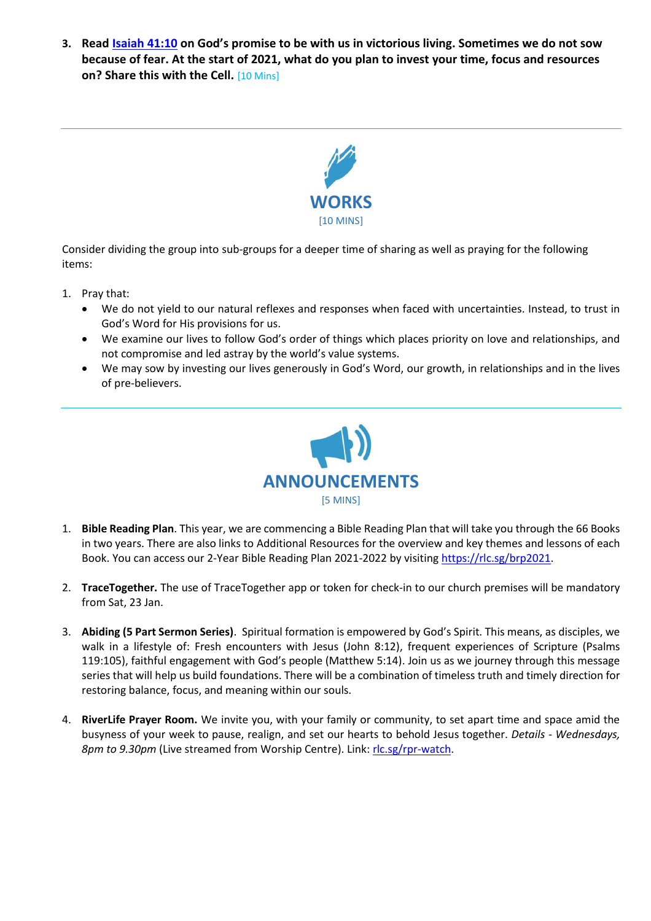**3. Read [Isaiah 41:10](https://www.biblegateway.com/passage/?search=Isaiah+41%3A10&version=ESV) on God's promise to be with us in victorious living. Sometimes we do not sow because of fear. At the start of 2021, what do you plan to invest your time, focus and resources on? Share this with the Cell.** [10 Mins]



Consider dividing the group into sub-groups for a deeper time of sharing as well as praying for the following items:

- 1. Pray that:
	- We do not yield to our natural reflexes and responses when faced with uncertainties. Instead, to trust in God's Word for His provisions for us.
	- We examine our lives to follow God's order of things which places priority on love and relationships, and not compromise and led astray by the world's value systems.
	- We may sow by investing our lives generously in God's Word, our growth, in relationships and in the lives of pre-believers.



- 1. **Bible Reading Plan**. This year, we are commencing a Bible Reading Plan that will take you through the 66 Books in two years. There are also links to Additional Resources for the overview and key themes and lessons of each Book. You can access our 2-Year Bible Reading Plan 2021-2022 by visiting [https://rlc.sg/brp2021.](https://rlc.sg/brp2021)
- 2. **TraceTogether.** The use of TraceTogether app or token for check-in to our church premises will be mandatory from Sat, 23 Jan.
- 3. **Abiding (5 Part Sermon Series)**. Spiritual formation is empowered by God's Spirit. This means, as disciples, we walk in a lifestyle of: Fresh encounters with Jesus (John 8:12), frequent experiences of Scripture (Psalms 119:105), faithful engagement with God's people (Matthew 5:14). Join us as we journey through this message series that will help us build foundations. There will be a combination of timeless truth and timely direction for restoring balance, focus, and meaning within our souls.
- 4. **RiverLife Prayer Room.** We invite you, with your family or community, to set apart time and space amid the busyness of your week to pause, realign, and set our hearts to behold Jesus together. *Details - Wednesdays, 8pm to 9.30pm* (Live streamed from Worship Centre). Link[: rlc.sg/rpr-watch.](file:///C:/Users/MosesSho/AppData/Local/Microsoft/Windows/INetCache/Content.Outlook/FUASCOA3/rlc.sg/rpr-watch)